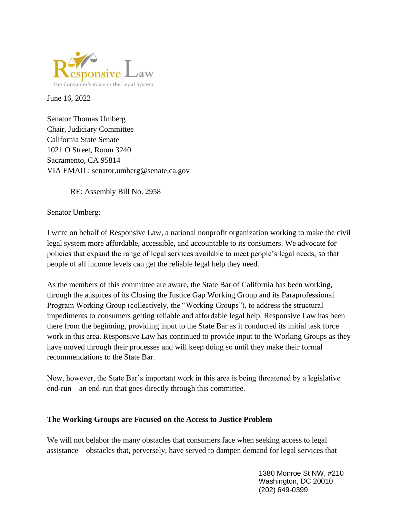

June 16, 2022

Senator Thomas Umberg Chair, Judiciary Committee California State Senate 1021 O Street, Room 3240 Sacramento, CA 95814 VIA EMAIL: senator.umberg@senate.ca.gov

RE: Assembly Bill No. 2958

Senator Umberg:

I write on behalf of Responsive Law, a national nonprofit organization working to make the civil legal system more affordable, accessible, and accountable to its consumers. We advocate for policies that expand the range of legal services available to meet people's legal needs, so that people of all income levels can get the reliable legal help they need.

As the members of this committee are aware, the State Bar of California has been working, through the auspices of its Closing the Justice Gap Working Group and its Paraprofessional Program Working Group (collectively, the "Working Groups"), to address the structural impediments to consumers getting reliable and affordable legal help. Responsive Law has been there from the beginning, providing input to the State Bar as it conducted its initial task force work in this area. Responsive Law has continued to provide input to the Working Groups as they have moved through their processes and will keep doing so until they make their formal recommendations to the State Bar.

Now, however, the State Bar's important work in this area is being threatened by a legislative end-run—an end-run that goes directly through this committee.

## **The Working Groups are Focused on the Access to Justice Problem**

We will not belabor the many obstacles that consumers face when seeking access to legal assistance—obstacles that, perversely, have served to dampen demand for legal services that

> 1380 Monroe St NW, #210 Washington, DC 20010 (202) 649-0399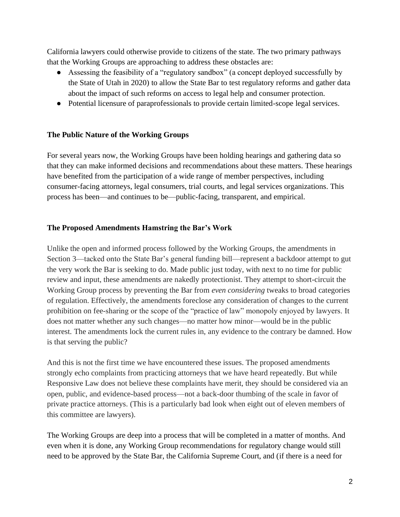California lawyers could otherwise provide to citizens of the state. The two primary pathways that the Working Groups are approaching to address these obstacles are:

- Assessing the feasibility of a "regulatory sandbox" (a concept deployed successfully by the State of Utah in 2020) to allow the State Bar to test regulatory reforms and gather data about the impact of such reforms on access to legal help and consumer protection.
- Potential licensure of paraprofessionals to provide certain limited-scope legal services.

## **The Public Nature of the Working Groups**

For several years now, the Working Groups have been holding hearings and gathering data so that they can make informed decisions and recommendations about these matters. These hearings have benefited from the participation of a wide range of member perspectives, including consumer-facing attorneys, legal consumers, trial courts, and legal services organizations. This process has been—and continues to be—public-facing, transparent, and empirical.

## **The Proposed Amendments Hamstring the Bar's Work**

Unlike the open and informed process followed by the Working Groups, the amendments in Section 3—tacked onto the State Bar's general funding bill—represent a backdoor attempt to gut the very work the Bar is seeking to do. Made public just today, with next to no time for public review and input, these amendments are nakedly protectionist. They attempt to short-circuit the Working Group process by preventing the Bar from *even considering* tweaks to broad categories of regulation. Effectively, the amendments foreclose any consideration of changes to the current prohibition on fee-sharing or the scope of the "practice of law" monopoly enjoyed by lawyers. It does not matter whether any such changes—no matter how minor—would be in the public interest. The amendments lock the current rules in, any evidence to the contrary be damned. How is that serving the public?

And this is not the first time we have encountered these issues. The proposed amendments strongly echo complaints from practicing attorneys that we have heard repeatedly. But while Responsive Law does not believe these complaints have merit, they should be considered via an open, public, and evidence-based process—not a back-door thumbing of the scale in favor of private practice attorneys. (This is a particularly bad look when eight out of eleven members of this committee are lawyers).

The Working Groups are deep into a process that will be completed in a matter of months. And even when it is done, any Working Group recommendations for regulatory change would still need to be approved by the State Bar, the California Supreme Court, and (if there is a need for